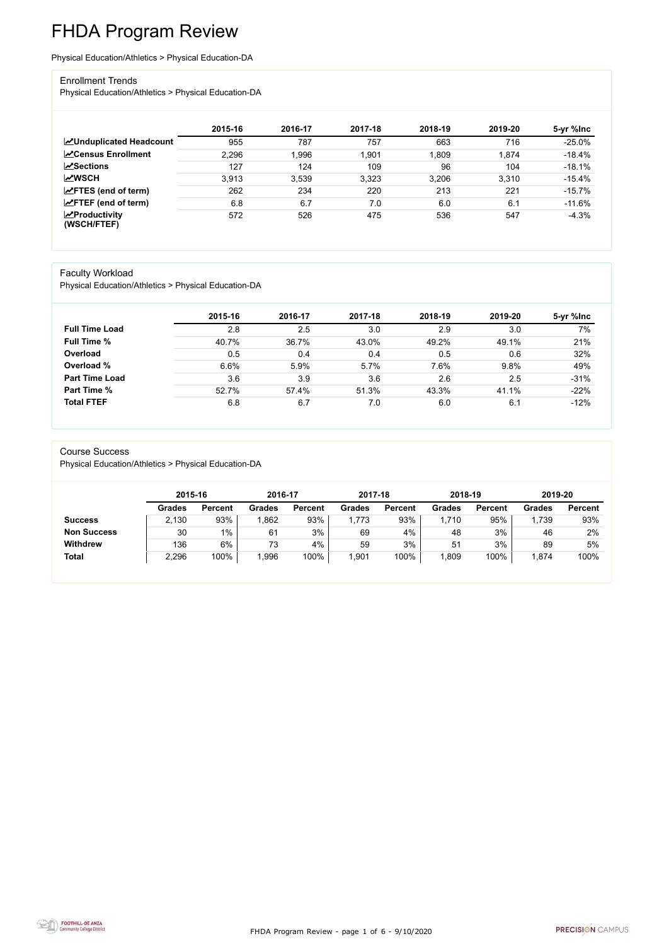FHDA Program Review - page 1 of 6 - 9/10/2020



# FHDA Program Review

Physical Education/Athletics > Physical Education-DA

#### Enrollment Trends

Physical Education/Athletics > Physical Education-DA

|                                                  | 2015-16 | 2016-17     | 2017-18 | 2018-19 | 2019-20 | 5-yr %lnc |
|--------------------------------------------------|---------|-------------|---------|---------|---------|-----------|
| <b>ZUnduplicated Headcount</b>                   | 955     | 787         | 757     | 663     | 716     | $-25.0%$  |
| <b>ZCensus Enrollment</b>                        | 2,296   | <b>996,</b> | 1,901   | 1,809   | 1,874   | $-18.4%$  |
| <b>ZSections</b>                                 | 127     | 124         | 109     | 96      | 104     | $-18.1%$  |
| <b>MWSCH</b>                                     | 3.913   | 3.539       | 3,323   | 3,206   | 3,310   | $-15.4%$  |
| $\angle$ FTES (end of term)                      | 262     | 234         | 220     | 213     | 221     | $-15.7%$  |
| $\angle$ FTEF (end of term)                      | 6.8     | 6.7         | 7.0     | 6.0     | 6.1     | $-11.6%$  |
| $\sqrt{\frac{1}{2}}$ Productivity<br>(WSCH/FTEF) | 572     | 526         | 475     | 536     | 547     | $-4.3%$   |

#### Faculty Workload

Physical Education/Athletics > Physical Education-DA

|                       | 2015-16 | 2016-17 | 2017-18 | 2018-19 | 2019-20 | 5-yr %lnc |
|-----------------------|---------|---------|---------|---------|---------|-----------|
| <b>Full Time Load</b> | 2.8     | 2.5     | 3.0     | 2.9     | 3.0     | 7%        |
| <b>Full Time %</b>    | 40.7%   | 36.7%   | 43.0%   | 49.2%   | 49.1%   | 21%       |
| Overload              | 0.5     | 0.4     | 0.4     | 0.5     | 0.6     | 32%       |
| Overload %            | 6.6%    | 5.9%    | 5.7%    | 7.6%    | 9.8%    | 49%       |
| <b>Part Time Load</b> | 3.6     | 3.9     | 3.6     | 2.6     | 2.5     | $-31%$    |
| <b>Part Time %</b>    | 52.7%   | 57.4%   | 51.3%   | 43.3%   | 41.1%   | $-22%$    |
| <b>Total FTEF</b>     | 6.8     | 6.7     | 7.0     | 6.0     | 6.1     | $-12%$    |

#### Course Success

Physical Education/Athletics > Physical Education-DA

|                    | 2015-16       |                | 2016-17       |                | 2017-18       |                | 2018-19       |                | 2019-20       |                |
|--------------------|---------------|----------------|---------------|----------------|---------------|----------------|---------------|----------------|---------------|----------------|
|                    | <b>Grades</b> | <b>Percent</b> | <b>Grades</b> | <b>Percent</b> | <b>Grades</b> | <b>Percent</b> | <b>Grades</b> | <b>Percent</b> | <b>Grades</b> | <b>Percent</b> |
| <b>Success</b>     | 2,130         | 93%            | ,862          | 93%            | ,773          | 93%            | 1,710         | 95%            | 1,739         | 93%            |
| <b>Non Success</b> | 30            | 1%             | 61            | 3%             | 69            | 4%             | 48            | 3%             | 46            | 2%             |
| <b>Withdrew</b>    | 136           | 6%             | 73            | 4%             | 59            | 3%             | 51            | 3%             | 89            | 5%             |
| <b>Total</b>       | 2,296         | 100%           | ,996          | 100%           | ,901          | 100%           | ,809          | 100%           | 1,874         | 100%           |

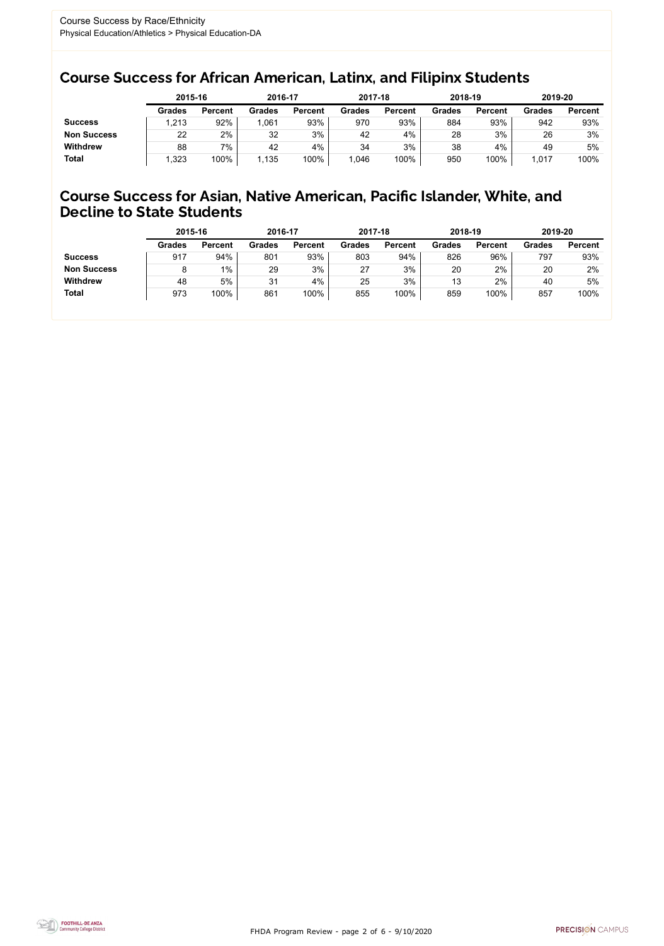FHDA Program Review - page 2 of 6 - 9/10/2020



### Course Success for African American, Latinx, and Filipinx Students

### Course Success for Asian, Native American, Pacific Islander, White, and Decline to State Students

|                    |               | 2015-16        |               | 2016-17        |               | 2017-18        | 2018-19       |                | 2019-20       |                |
|--------------------|---------------|----------------|---------------|----------------|---------------|----------------|---------------|----------------|---------------|----------------|
|                    | <b>Grades</b> | <b>Percent</b> | <b>Grades</b> | <b>Percent</b> | <b>Grades</b> | <b>Percent</b> | <b>Grades</b> | <b>Percent</b> | <b>Grades</b> | <b>Percent</b> |
| <b>Success</b>     | ,213          | 92%            | 1,061         | 93%            | 970           | 93%            | 884           | 93%            | 942           | 93%            |
| <b>Non Success</b> | 22            | 2%             | 32            | 3%             | 42            | 4%             | 28            | 3%             | 26            | 3%             |
| <b>Withdrew</b>    | 88            | 7%             | 42            | 4%             | 34            | 3%             | 38            | 4%             | 49            | 5%             |
| <b>Total</b>       | ,323          | 100%           | 1,135         | 100%           | 1,046         | 100%           | 950           | 100%           | 1,017         | 100%           |

|                    | 2015-16       |                | 2016-17       |                | 2017-18       |                | 2018-19       |                | 2019-20       |                |
|--------------------|---------------|----------------|---------------|----------------|---------------|----------------|---------------|----------------|---------------|----------------|
|                    | <b>Grades</b> | <b>Percent</b> | <b>Grades</b> | <b>Percent</b> | <b>Grades</b> | <b>Percent</b> | <b>Grades</b> | <b>Percent</b> | <b>Grades</b> | <b>Percent</b> |
| <b>Success</b>     | 917           | 94%            | 801           | 93%            | 803           | 94%            | 826           | 96%            | 797           | 93%            |
| <b>Non Success</b> |               | $1\%$          | 29            | 3%             | 27            | 3%             | 20            | 2%             | 20            | 2%             |
| <b>Withdrew</b>    | 48            | 5%             | 31            | 4%             | 25            | 3%             | 13            | 2%             | 40            | 5%             |
| <b>Total</b>       | 973           | 100%           | 861           | 100%           | 855           | 100%           | 859           | 100%           | 857           | 100%           |
|                    |               |                |               |                |               |                |               |                |               |                |

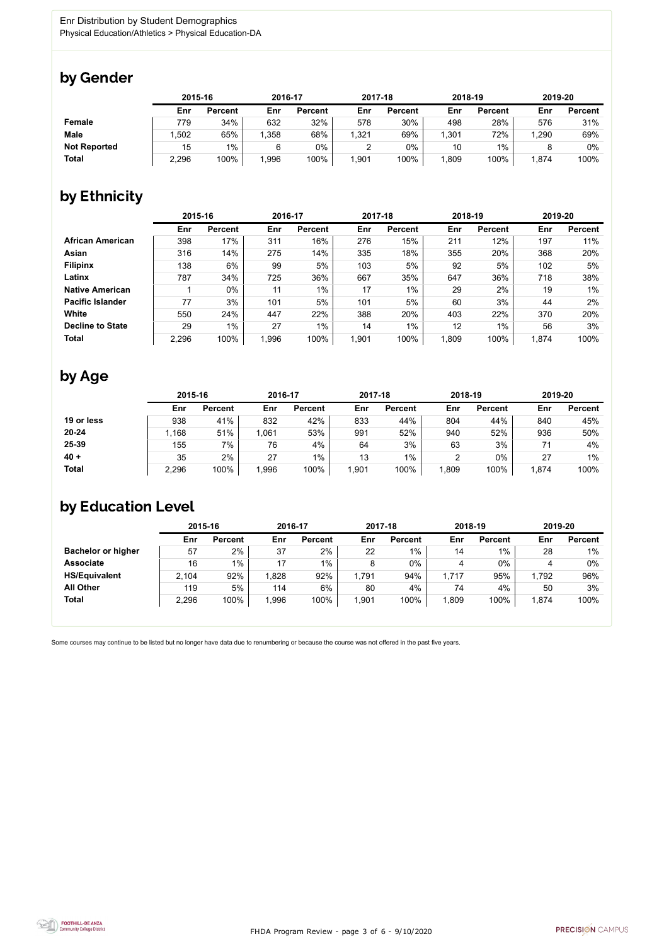

Some courses may continue to be listed but no longer have data due to renumbering or because the course was not offered in the past five years.



### by Gender

|                     | 2015-16 |                |       | 2016-17        |       | 2017-18        | 2018-19 |                | 2019-20 |                |
|---------------------|---------|----------------|-------|----------------|-------|----------------|---------|----------------|---------|----------------|
|                     | Enr     | <b>Percent</b> | Enr   | <b>Percent</b> | Enr   | <b>Percent</b> | Enr     | <b>Percent</b> | Enr     | <b>Percent</b> |
| <b>Female</b>       | 779     | 34%            | 632   | 32%            | 578   | 30%            | 498     | 28%            | 576     | 31%            |
| <b>Male</b>         | .502    | 65%            | .358  | 68%            | 1,321 | 69%            | 1,301   | 72%            | 1,290   | 69%            |
| <b>Not Reported</b> | 15      | $1\%$          |       | $0\%$          |       | 0%             | 10      | $1\%$          |         | 0%             |
| <b>Total</b>        | 2,296   | 100%           | 1,996 | 100%           | 1,901 | 100%           | ,809    | 100%           | 874, ا  | 100%           |

## by Ethnicity

|                         | 2015-16 |                |      | 2016-17        |       | 2017-18        |       | 2018-19        | 2019-20 |                |
|-------------------------|---------|----------------|------|----------------|-------|----------------|-------|----------------|---------|----------------|
|                         | Enr     | <b>Percent</b> | Enr  | <b>Percent</b> | Enr   | <b>Percent</b> | Enr   | <b>Percent</b> | Enr     | <b>Percent</b> |
| <b>African American</b> | 398     | 17%            | 311  | 16%            | 276   | 15%            | 211   | 12%            | 197     | 11%            |
| <b>Asian</b>            | 316     | 14%            | 275  | 14%            | 335   | 18%            | 355   | 20%            | 368     | 20%            |
| <b>Filipinx</b>         | 138     | 6%             | 99   | 5%             | 103   | 5%             | 92    | 5%             | 102     | 5%             |
| Latinx                  | 787     | 34%            | 725  | 36%            | 667   | 35%            | 647   | 36%            | 718     | 38%            |
| <b>Native American</b>  |         | $0\%$          | 11   | $1\%$          | 17    | $1\%$          | 29    | 2%             | 19      | 1%             |
| <b>Pacific Islander</b> | 77      | 3%             | 101  | 5%             | 101   | 5%             | 60    | 3%             | 44      | 2%             |
| White                   | 550     | 24%            | 447  | 22%            | 388   | 20%            | 403   | 22%            | 370     | 20%            |
| <b>Decline to State</b> | 29      | $1\%$          | 27   | 1%             | 14    | $1\%$          | 12    | 1%             | 56      | 3%             |
| <b>Total</b>            | 2,296   | 100%           | ,996 | 100%           | 1,901 | 100%           | 1,809 | 100%           | 1,874   | 100%           |

## by Age

|              | 2015-16 |                | 2016-17 |                | 2017-18 |                | 2018-19 |                | 2019-20 |                |
|--------------|---------|----------------|---------|----------------|---------|----------------|---------|----------------|---------|----------------|
|              | Enr     | <b>Percent</b> | Enr     | <b>Percent</b> | Enr     | <b>Percent</b> | Enr     | <b>Percent</b> | Enr     | <b>Percent</b> |
| 19 or less   | 938     | 41%            | 832     | 42%            | 833     | 44%            | 804     | 44%            | 840     | 45%            |
| $20 - 24$    | ,168    | 51%            | 1,061   | 53%            | 991     | 52%            | 940     | 52%            | 936     | 50%            |
| 25-39        | 155     | 7%             | 76      | 4%             | 64      | 3%             | 63      | 3%             |         | 4%             |
| $40 +$       | 35      | 2%             | 27      | $1\%$          | 13      | 1%             | າ<br>∼  | 0%             | 27      | $1\%$          |
| <b>Total</b> | 2,296   | 100%           | 1,996   | 100%           | ,901    | 100%           | ,809    | 100%           | 1,874   | 100%           |

## by Education Level

|                           | 2015-16 |                |      | 2016-17        |       | 2017-18        | 2018-19 |                | 2019-20 |                |
|---------------------------|---------|----------------|------|----------------|-------|----------------|---------|----------------|---------|----------------|
|                           | Enr     | <b>Percent</b> | Enr  | <b>Percent</b> | Enr   | <b>Percent</b> | Enr     | <b>Percent</b> | Enr     | <b>Percent</b> |
| <b>Bachelor or higher</b> | 57      | 2%             | 37   | 2%             | 22    | $1\%$          | 14      | 1%             | 28      | $1\%$          |
| <b>Associate</b>          | 16      | $1\%$          | 17   | $1\%$          | 8     | 0%             | 4       | $0\%$          |         | 0%             |
| <b>HS/Equivalent</b>      | 2,104   | 92%            | ,828 | 92%            | 1,791 | 94%            | 1,717   | 95%            | 1,792   | 96%            |
| <b>All Other</b>          | 119     | 5%             | 114  | $6\%$          | 80    | 4%             | 74      | 4%             | 50      | 3%             |
| <b>Total</b>              | 2,296   | 100%           | ,996 | 100%           | 1,901 | 100%           | R09,    | 100%           | 1,874   | 100%           |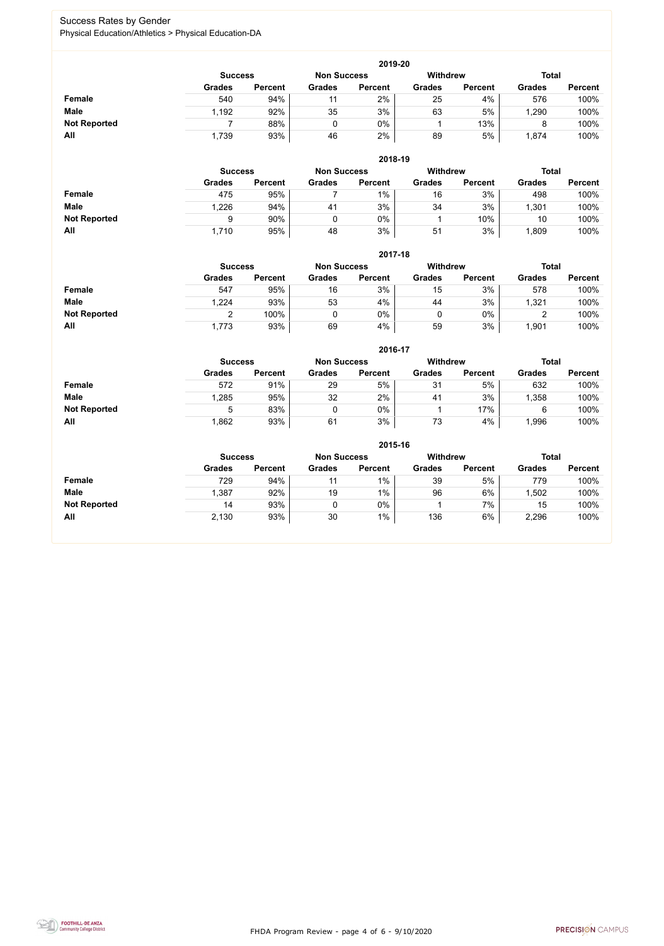FHDA Program Review - page 4 of 6 - 9/10/2020



### Success Rates by Gender Physical Education/Athletics > Physical Education-DA

|                     |               | 2019-20                              |               |                |               |                 |               |                |  |  |  |  |  |  |
|---------------------|---------------|--------------------------------------|---------------|----------------|---------------|-----------------|---------------|----------------|--|--|--|--|--|--|
|                     |               | <b>Non Success</b><br><b>Success</b> |               |                |               | <b>Withdrew</b> | <b>Total</b>  |                |  |  |  |  |  |  |
|                     | <b>Grades</b> | <b>Percent</b>                       | <b>Grades</b> | <b>Percent</b> | <b>Grades</b> | <b>Percent</b>  | <b>Grades</b> | <b>Percent</b> |  |  |  |  |  |  |
| Female              | 540           | 94%                                  |               | 2%             | 25            | 4%              | 576           | 100%           |  |  |  |  |  |  |
| <b>Male</b>         | 1,192         | 92%                                  | 35            | 3%             | 63            | 5%              | ,290          | 100%           |  |  |  |  |  |  |
| <b>Not Reported</b> |               | 88%                                  |               | 0%             |               | 13%             |               | 100%           |  |  |  |  |  |  |
| All                 | 1,739         | 93%                                  | 46            | 2%             | 89            | 5%              | 1,874         | 100%           |  |  |  |  |  |  |

|                     |                | 2018-19        |                    |                |                 |                |               |                |  |  |  |  |  |
|---------------------|----------------|----------------|--------------------|----------------|-----------------|----------------|---------------|----------------|--|--|--|--|--|
|                     | <b>Success</b> |                | <b>Non Success</b> |                | <b>Withdrew</b> |                | <b>Total</b>  |                |  |  |  |  |  |
|                     | <b>Grades</b>  | <b>Percent</b> | <b>Grades</b>      | <b>Percent</b> | <b>Grades</b>   | <b>Percent</b> | <b>Grades</b> | <b>Percent</b> |  |  |  |  |  |
| <b>Female</b>       | 475            | 95%            |                    | $1\%$          | 16              | 3%             | 498           | 100%           |  |  |  |  |  |
| <b>Male</b>         | 1,226          | 94%            | 41                 | 3%             | 34              | 3%             | ,301          | 100%           |  |  |  |  |  |
| <b>Not Reported</b> | 9              | 90%            |                    | 0%             |                 | 10%            | 10            | 100%           |  |  |  |  |  |
| All                 | 1,710          | 95%            | 48                 | 3%             | 51              | 3%             | ,809          | 100%           |  |  |  |  |  |

|                     | 2017-18        |                |                    |                |                 |                |               |                |  |  |  |  |
|---------------------|----------------|----------------|--------------------|----------------|-----------------|----------------|---------------|----------------|--|--|--|--|
|                     | <b>Success</b> |                | <b>Non Success</b> |                | <b>Withdrew</b> |                | <b>Total</b>  |                |  |  |  |  |
|                     | <b>Grades</b>  | <b>Percent</b> | <b>Grades</b>      | <b>Percent</b> | <b>Grades</b>   | <b>Percent</b> | <b>Grades</b> | <b>Percent</b> |  |  |  |  |
| Female              | 547            | 95%            | 16                 | 3%             | 15              | 3%             | 578           | 100%           |  |  |  |  |
| <b>Male</b>         | 1,224          | 93%            | 53                 | 4%             | 44              | 3%             | ,321          | 100%           |  |  |  |  |
| <b>Not Reported</b> |                | 100%           |                    | 0%             | 0               | $0\%$          | ∼             | 100%           |  |  |  |  |
| All                 | 1,773          | 93%            | 69                 | 4%             | 59              | 3%             | ,901          | 100%           |  |  |  |  |

|                     |                |                |                    | 2016-17        |                 |                |               |                |
|---------------------|----------------|----------------|--------------------|----------------|-----------------|----------------|---------------|----------------|
|                     | <b>Success</b> |                | <b>Non Success</b> |                | <b>Withdrew</b> |                | <b>Total</b>  |                |
|                     | <b>Grades</b>  | <b>Percent</b> | <b>Grades</b>      | <b>Percent</b> | <b>Grades</b>   | <b>Percent</b> | <b>Grades</b> | <b>Percent</b> |
| Female              | 572            | 91%            | 29                 | 5%             | 31              | 5%             | 632           | 100%           |
| <b>Male</b>         | 1,285          | 95%            | 32                 | 2%             | 41              | 3%             | 1,358         | 100%           |
| <b>Not Reported</b> | $\mathbf b$    | 83%            |                    | 0%             |                 | 17%            |               | 100%           |
| <b>All</b>          | 862,           | 93%            | 61                 | 3%             | 73              | 4%             | ,996          | 100%           |

|                     |                                                  | 2015-16        |               |                |               |                |               |                |  |  |
|---------------------|--------------------------------------------------|----------------|---------------|----------------|---------------|----------------|---------------|----------------|--|--|
|                     | Withdrew<br><b>Non Success</b><br><b>Success</b> |                |               |                |               |                | <b>Total</b>  |                |  |  |
|                     | <b>Grades</b>                                    | <b>Percent</b> | <b>Grades</b> | <b>Percent</b> | <b>Grades</b> | <b>Percent</b> | <b>Grades</b> | <b>Percent</b> |  |  |
| Female              | 729                                              | 94%            | 11            | $1\%$          | 39            | 5%             | 779           | 100%           |  |  |
| <b>Male</b>         | 1,387                                            | 92%            | 19            | $1\%$          | 96            | 6%             | ,502          | 100%           |  |  |
| <b>Not Reported</b> | 14                                               | 93%            |               | $0\%$          |               | 7%             | 15            | 100%           |  |  |
| All                 | 2,130                                            | 93%            | 30            | $1\%$          | 136           | 6%             | 2,296         | 100%           |  |  |

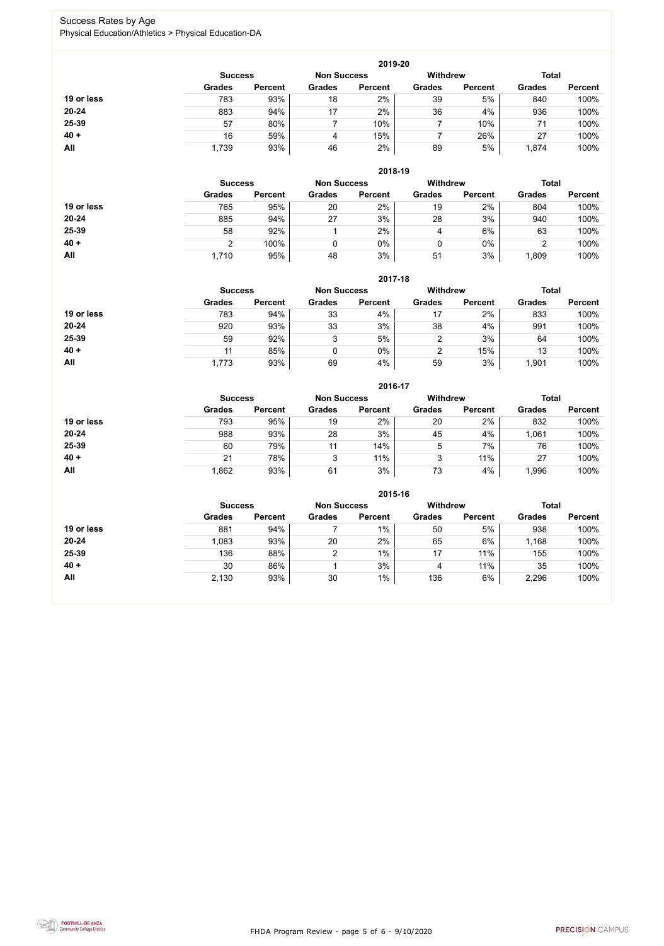FHDA Program Review - page 5 of 6 - 9/10/2020



### Success Rates by Age Physical Education/Athletics > Physical Education-DA

|            |                |                |                    | 2019-20        |                 |                |               |                |
|------------|----------------|----------------|--------------------|----------------|-----------------|----------------|---------------|----------------|
|            | <b>Success</b> |                | <b>Non Success</b> |                | <b>Withdrew</b> |                | <b>Total</b>  |                |
|            | <b>Grades</b>  | <b>Percent</b> | <b>Grades</b>      | <b>Percent</b> | <b>Grades</b>   | <b>Percent</b> | <b>Grades</b> | <b>Percent</b> |
| 19 or less | 783            | 93%            | 18                 | 2%             | 39              | 5%             | 840           | 100%           |
| 20-24      | 883            | 94%            | 17                 | 2%             | 36              | 4%             | 936           | 100%           |
| 25-39      | 57             | 80%            |                    | 10%            |                 | 10%            | 71            | 100%           |
| $40 +$     | 16             | 59%            | 4                  | 15%            |                 | 26%            | 27            | 100%           |
| <b>All</b> | 1,739          | 93%            | 46                 | 2%             | 89              | 5%             | 1,874         | 100%           |

|            |                |                    |               | 2018-19         |               |                |               |                |
|------------|----------------|--------------------|---------------|-----------------|---------------|----------------|---------------|----------------|
|            | <b>Success</b> | <b>Non Success</b> |               | <b>Withdrew</b> |               | <b>Total</b>   |               |                |
|            | <b>Grades</b>  | <b>Percent</b>     | <b>Grades</b> | <b>Percent</b>  | <b>Grades</b> | <b>Percent</b> | <b>Grades</b> | <b>Percent</b> |
| 19 or less | 765            | 95%                | 20            | 2%              | 19            | 2%             | 804           | 100%           |
| $20 - 24$  | 885            | 94%                | 27            | 3%              | 28            | 3%             | 940           | 100%           |
| 25-39      | 58             | 92%                |               | 2%              | 4             | 6%             | 63            | 100%           |
| $40 +$     | ົ              | 100%               |               | $0\%$           |               | $0\%$          | ⌒<br>▵        | 100%           |
| All        | 1,710          | 95%                | 48            | 3%              | 51            | 3%             | 0.809         | 100%           |

|            |                                      |                |               | 2017-18        |                 |                |               |                |
|------------|--------------------------------------|----------------|---------------|----------------|-----------------|----------------|---------------|----------------|
|            | <b>Non Success</b><br><b>Success</b> |                |               |                | <b>Withdrew</b> |                | <b>Total</b>  |                |
|            | <b>Grades</b>                        | <b>Percent</b> | <b>Grades</b> | <b>Percent</b> | <b>Grades</b>   | <b>Percent</b> | <b>Grades</b> | <b>Percent</b> |
| 19 or less | 783                                  | 94%            | 33            | 4%             | 17              | 2%             | 833           | 100%           |
| $20 - 24$  | 920                                  | 93%            | 33            | 3%             | 38              | 4%             | 991           | 100%           |
| 25-39      | 59                                   | 92%            | 3             | 5%             | ົ               | 3%             | 64            | 100%           |
| $40 +$     | 11                                   | 85%            | 0             | 0%             | 2               | 15%            | 13            | 100%           |
| <b>All</b> | 1,773                                | 93%            | 69            | 4%             | 59              | 3%             | ,901          | 100%           |

|            |                |                    |               | 2016-17         |               |                |               |                |
|------------|----------------|--------------------|---------------|-----------------|---------------|----------------|---------------|----------------|
|            | <b>Success</b> | <b>Non Success</b> |               | <b>Withdrew</b> |               | <b>Total</b>   |               |                |
|            | <b>Grades</b>  | <b>Percent</b>     | <b>Grades</b> | <b>Percent</b>  | <b>Grades</b> | <b>Percent</b> | <b>Grades</b> | <b>Percent</b> |
| 19 or less | 793            | 95%                | 19            | 2%              | 20            | 2%             | 832           | 100%           |
| $20 - 24$  | 988            | 93%                | 28            | 3%              | 45            | 4%             | 1,061         | 100%           |
| 25-39      | 60             | 79%                | 11            | 14%             | 5             | 7%             | 76            | 100%           |
| $40 +$     | 21             | 78%                | 3             | 11%             | 3             | 11%            | 27            | 100%           |
| All        | 1,862          | 93%                | 61            | 3%              | 73            | 4%             | ,996          | 100%           |

|            |                |                |                    | 2015-16        |                 |                |               |                |
|------------|----------------|----------------|--------------------|----------------|-----------------|----------------|---------------|----------------|
|            | <b>Success</b> |                | <b>Non Success</b> |                | <b>Withdrew</b> |                | <b>Total</b>  |                |
|            | <b>Grades</b>  | <b>Percent</b> | <b>Grades</b>      | <b>Percent</b> | <b>Grades</b>   | <b>Percent</b> | <b>Grades</b> | <b>Percent</b> |
| 19 or less | 881            | 94%            |                    | $1\%$          | 50              | 5%             | 938           | 100%           |
| 20-24      | 1,083          | 93%            | 20                 | 2%             | 65              | 6%             | 1,168         | 100%           |
| 25-39      | 136            | 88%            | 2                  | $1\%$          | 17              | 11%            | 155           | 100%           |
| $40 +$     | 30             | 86%            |                    | 3%             | 4               | 11%            | 35            | 100%           |
| All        | 2,130          | 93%            | 30                 | $1\%$          | 136             | 6%             | 2,296         | 100%           |